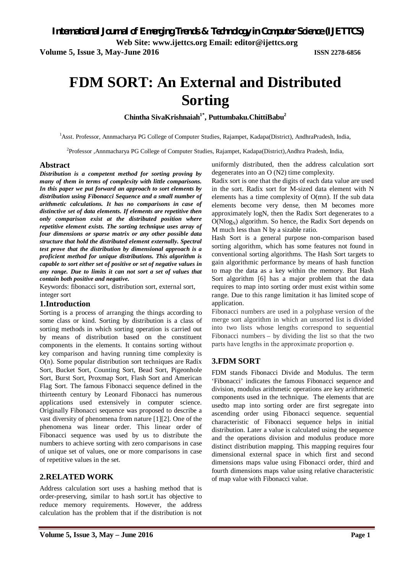**Web Site: www.ijettcs.org Email: editor@ijettcs.org** 

**Volume 5, Issue 3, May-June 2016 ISSN 2278-6856**

# **FDM SORT: An External and Distributed Sorting**

**Chintha SivaKrishnaiah1\*, Puttumbaku.ChittiBabu<sup>2</sup>**

<sup>1</sup>Asst. Professor, Annmacharya PG College of Computer Studies, Rajampet, Kadapa(District), AndhraPradesh, India,

<sup>2</sup>Professor ,Annmacharya PG College of Computer Studies, Rajampet, Kadapa(District),Andhra Pradesh, India,

### **Abstract**

*Distribution is a competent method for sorting proving by many of them in terms of complexity with little comparisons. In this paper we put forward an approach to sort elements by distribution using Fibonacci Sequence and a small number of arithmetic calculations. It has no comparisons in case of distinctive set of data elements. If elements are repetitive then only comparison exist at the distributed position where repetitive element exists. The sorting technique uses array of four dimensions or sparse matrix or any other possible data structure that hold the distributed element externally. Spectral test prove that the distribution by dimensional approach is a proficient method for unique distributions. This algorithm is capable to sort either set of positive or set of negative values in any range. Due to limits it can not sort a set of values that contain both positive and negative.*

Keywords: fibonacci sort, distribution sort, external sort, integer sort

### **1.Introduction**

Sorting is a process of arranging the things according to some class or kind. Sorting by distribution is a class of sorting methods in which sorting operation is carried out by means of distribution based on the constituent components in the elements. It contains sorting without key comparison and having running time complexity is O(n). Some popular distribution sort techniques are Radix Sort, Bucket Sort, Counting Sort, Bead Sort, Pigeonhole Sort, Burst Sort, Proxmap Sort, Flash Sort and American Flag Sort. The famous Fibonacci sequence defined in the thirteenth century by Leonard Fibonacci has numerous applications used extensively in computer science. Originally Fibonacci sequence was proposed to describe a vast diversity of phenomena from nature [1][2]. One of the phenomena was linear order. This linear order of Fibonacci sequence was used by us to distribute the numbers to achieve sorting with zero comparisons in case of unique set of values, one or more comparisons in case of repetitive values in the set.

### **2.RELATED WORK**

Address calculation sort uses a hashing method that is order-preserving, similar to hash sort.it has objective to reduce memory requirements. However, the address calculation has the problem that if the distribution is not

uniformly distributed, then the address calculation sort degenerates into an O (N2) time complexity.

Radix sort is one that the digits of each data value are used in the sort. Radix sort for M-sized data element with N elements has a time complexity of O(mn). If the sub data elements become very dense, then M becomes more approximately logN, then the Radix Sort degenerates to a  $O(N \log_N)$  algorithm. So hence, the Radix Sort depends on M much less than N by a sizable ratio.

Hash Sort is a general purpose non-comparison based sorting algorithm, which has some features not found in conventional sorting algorithms. The Hash Sort targets to gain algorithmic performance by means of hash function to map the data as a key within the memory. But Hash Sort algorithm [6] has a major problem that the data requires to map into sorting order must exist within some range. Due to this range limitation it has limited scope of application.

Fibonacci numbers are used in a polyphase version of the merge sort algorithm in which an unsorted list is divided into two lists whose lengths correspond to sequential Fibonacci numbers – by dividing the list so that the two parts have lengths in the approximate proportion φ.

### **3.FDM SORT**

FDM stands Fibonacci Divide and Modulus. The term 'Fibonacci' indicates the famous Fibonacci sequence and division, modulus arithmetic operations are key arithmetic components used in the technique. The elements that are usedto map into sorting order are first segregate into ascending order using Fibonacci sequence. sequential characteristic of Fibonacci sequence helps in initial distribution. Later a value is calculated using the sequence and the operations division and modulus produce more distinct distribution mapping. This mapping requires four dimensional external space in which first and second dimensions maps value using Fibonacci order, third and fourth dimensions maps value using relative characteristic of map value with Fibonacci value.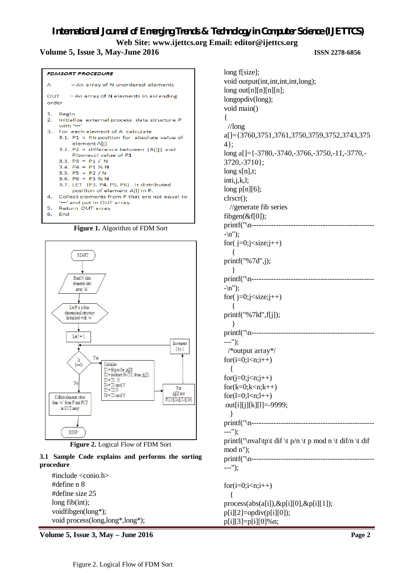### **Volume 5, Issue 3, May-June 2016 ISSN 2278-6856**



**Figure 1.** Algorithm of FDM Sort





### **3.1 Sample Code explains and performs the sorting procedure**

#include <conio.h> #define n 8 #define size 25 long fib(int); voidfibgen(long\*); void process(long,long\*,long\*);

**Volume 5, Issue 3, May – June 2016 Page 2**

| long f[size];                                            |
|----------------------------------------------------------|
| void output(int,int,int,int,long);                       |
| long out[n][n][n][n];                                    |
| longopdiv(long);                                         |
| void main()                                              |
| {                                                        |
| $\frac{1}{\log}$                                         |
|                                                          |
| a[]={3760,3751,3761,3750,3759,3752,3743,375              |
| 4};                                                      |
| long a[]={-3780,-3740,-3766,-3750,-11,-3770,-            |
| $3720,-3710$ ;                                           |
| long $s[n],t;$                                           |
| inti, j, k, l;                                           |
| long $p[n][6]$ ;                                         |
| $\text{clrscr}$ $($ $);$                                 |
| $\frac{1}{2}$ generate fib series                        |
| $fibgen(\&f[0]);$                                        |
| $printf("n-----$<br>.                                    |
| $-\langle n'' \rangle$ ;                                 |
| for( $j=0$ ; $j<$ size; $j++)$                           |
|                                                          |
|                                                          |
| print(f("%7d",j));                                       |
| ł                                                        |
| printf("\n--------------------------------               |
| $-\n\langle n'' \rangle$ ;                               |
| for( $j=0; j<$ size; $j++)$                              |
|                                                          |
| printf("%7ld", f[j]);                                    |
|                                                          |
| $print('\\n-----$                                        |
| ---'');                                                  |
| /*output array*/                                         |
| $for(i=0;i$                                              |
| {                                                        |
|                                                          |
| $for(j=0;j< n;j++)$                                      |
| $for(k=0;k=n;k++)$                                       |
| $for(l=0; l$                                             |
| out[i][j][k][l]=-9999;                                   |
| ł                                                        |
|                                                          |
| ---");                                                   |
| printf("\nval\tp\t dif \t p/n \t p mod n \t dif/n \t dif |
| $mod n$ ");                                              |
|                                                          |
| ---");                                                   |
|                                                          |
| $for(i=0;i$                                              |
| {                                                        |
|                                                          |
| $process(abs(a[i]), \& p[i][0], \& p[i][1]);$            |
| $p[i][2] = \text{opdiv}(p[i][0]);$                       |
| p[i][3]=p[i][0]%n;                                       |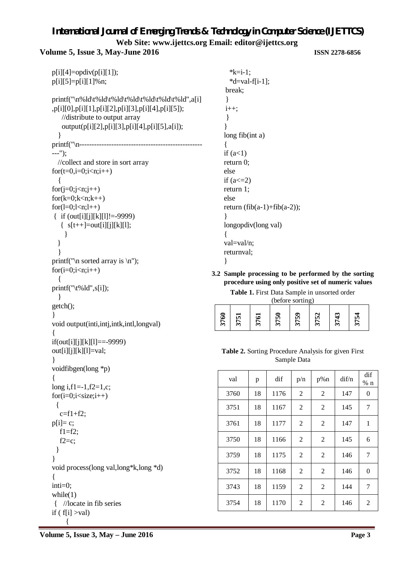**Volume 5, Issue 3, May-June 2016 ISSN 2278-6856**

```
p[i][4] = opdiv(p[i][1]);
p[i][5]=p[i][1]%n;
printf("\n%ld\t%ld\t%ld\t%ld\t%ld\t%ld\t%ld",a[i]
,p[i][0],p[i][1],p[i][2],p[i][3],p[i][4],p[i][5]);
    //distribute to output array
    output(p[i][2],p[i][3],p[i][4],p[i][5],a[i]);
   }
printf("\n--------------------------------------------------
---");
  //collect and store in sort array
for(t=0,i=0;i<n;i++) {
for(j=0;j < n;j++)for(k=0;k<n;k++)for(l=0; l < n; l++)\{ if (out[i][j][k][l]!=-9999)
   \{ s[t++]=out[i][j][k][l]; }
   }
   }
printf("\n sorted array is \n");
for(i=0;i< n;i++) {
printf("\setminust%ld",s[i]);
   }
getch();
}
void output(inti,intj,intk,intl,longval)
{
if(out[i][i][k][1]=-9999)out[i][j][k][l]=val;
}
voidfibgen(long *p)
{
long i,f1=-1,f2=1,c;
for(i=0;i<size;i++) {
   c=f1+f2;p[i]= c;f1=f2;
  f2=c;
  }
}
void process(long val,long*k,long *d)
{
inti=0;
while(1){ //locate in fib series
if ( f[i] >val)
      {
```

```
*k=i-1:
  *d=val-f[i-1];break;
}
i++;
}
}
long fib(int a)
{
if (a<1)return 0;
else
if (a < = 2)return 1;
else
return (fib(a-1)+fib(a-2));
}
longopdiv(long val)
{
val=val/n;
returnval;
}
```
**3.2 Sample processing to be performed by the sorting procedure using only positive set of numeric values**

**Table 1.** First Data Sample in unsorted order

| (before sorting) |  |     |  |  |  |  |  |
|------------------|--|-----|--|--|--|--|--|
|                  |  |     |  |  |  |  |  |
|                  |  |     |  |  |  |  |  |
|                  |  | - 2 |  |  |  |  |  |
|                  |  |     |  |  |  |  |  |

### **Table 2.** Sorting Procedure Analysis for given First Sample Data

| val  | p  | dif  | p/n            | $p\%n$         | di f/n | dif<br>$%$ n   |
|------|----|------|----------------|----------------|--------|----------------|
| 3760 | 18 | 1176 | 2              | 2              | 147    | $\overline{0}$ |
| 3751 | 18 | 1167 | $\overline{c}$ | $\overline{2}$ | 145    | 7              |
| 3761 | 18 | 1177 | $\overline{c}$ | $\overline{c}$ | 147    | 1              |
| 3750 | 18 | 1166 | $\overline{2}$ | 2              | 145    | 6              |
| 3759 | 18 | 1175 | $\overline{2}$ | 2              | 146    | 7              |
| 3752 | 18 | 1168 | 2              | $\overline{2}$ | 146    | 0              |
| 3743 | 18 | 1159 | $\overline{c}$ | 2              | 144    | 7              |
| 3754 | 18 | 1170 | $\overline{c}$ | $\overline{2}$ | 146    | $\overline{2}$ |

**Volume 5, Issue 3, May – June 2016 Page 3**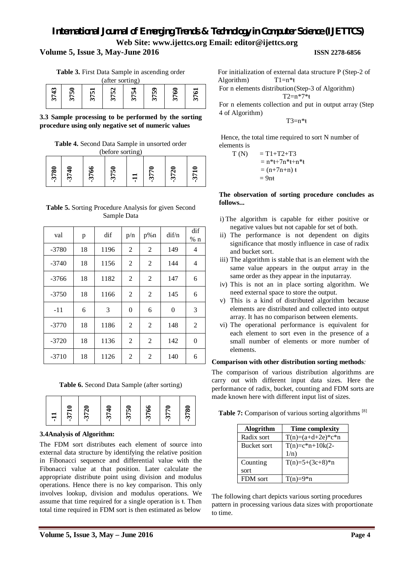### **Volume 5, Issue 3, May-June 2016 ISSN 2278-6856**

**Table 3.** First Data Sample in ascending order

| (after sorting) |         |   |              |   |        |   |  |  |  |
|-----------------|---------|---|--------------|---|--------|---|--|--|--|
| m               | ın<br>∽ | m | N<br>ın<br>m | m | r<br>m | ొ |  |  |  |

**3.3 Sample processing to be performed by the sorting procedure using only negative set of numeric values**

**Table 4.** Second Data Sample in unsorted order (before sorting)

| 3780 | $\epsilon$<br>$\mathfrak{L}$ | ⊵<br>ত |   |   |   | $\equiv$<br>$\mathfrak{L}$ |
|------|------------------------------|--------|---|---|---|----------------------------|
|      |                              | ొ      | 문 | ొ | ొ |                            |

| <b>Table 5.</b> Sorting Procedure Analysis for given Second |  |
|-------------------------------------------------------------|--|
| Sample Data                                                 |  |

| val     | p  | dif  | p/n            | $p\%n$         | $\frac{di f}{n}$ | dif<br>$%$ n   |
|---------|----|------|----------------|----------------|------------------|----------------|
| $-3780$ | 18 | 1196 | $\overline{2}$ | 2              | 149              | 4              |
| $-3740$ | 18 | 1156 | 2              | 2              | 144              | 4              |
| $-3766$ | 18 | 1182 | $\overline{2}$ | 2              | 147              | 6              |
| $-3750$ | 18 | 1166 | 2              | $\overline{2}$ | 145              | 6              |
| $-11$   | 6  | 3    | $\overline{0}$ | 6              | $\theta$         | 3              |
| $-3770$ | 18 | 1186 | $\overline{2}$ | 2              | 148              | 2              |
| $-3720$ | 18 | 1136 | $\overline{2}$ | 2              | 142              | $\overline{0}$ |
| $-3710$ | 18 | 1126 | 2              | $\overline{2}$ | 140              | 6              |

**Table 6.** Second Data Sample (after sorting)

| $\overline{1}$ | 371 | 372 | -<br>₹<br>57 | 0<br>375 | ७<br>376 | 0<br>377 | =<br>378 |
|----------------|-----|-----|--------------|----------|----------|----------|----------|
|                |     |     |              |          |          |          |          |

### **3.4Analysis of Algorithm:**

The FDM sort distributes each element of source into external data structure by identifying the relative position in Fibonacci sequence and differential value with the Fibonacci value at that position. Later calculate the appropriate distribute point using division and modulus operations. Hence there is no key comparison. This only involves lookup, division and modulus operations. We assume that time required for a single operation is ŧ. Then total time required in FDM sort is then estimated as below

For initialization of external data structure P (Step-2 of Algorithm)  $T1=n^*t$ For n elements distribution(Step-3 of Algorithm) T2=n\*7\*ŧ

For n elements collection and put in output array (Step 4 of Algorithm)

 $T3=n*1$ 

Hence, the total time required to sort N number of elements is

T (N) = T1+T2+T3 = n\*ŧ+7n\*ŧ+n\*ŧ = (n+7n+n) ŧ = 9nŧ

**The observation of sorting procedure concludes as follows...**

- i) The algorithm is capable for either positive or negative values but not capable for set of both.
- ii) The performance is not dependent on digits significance that mostly influence in case of radix and bucket sort.
- iii) The algorithm is stable that is an element with the same value appears in the output array in the same order as they appear in the inputarray.
- iv) This is not an in place sorting algorithm. We need external space to store the output.
- v) This is a kind of distributed algorithm because elements are distributed and collected into output array. It has no comparison between elements.
- vi) The operational performance is equivalent for each element to sort even in the presence of a small number of elements or more number of elements.

### **Comparison with other distribution sorting methods***:*

The comparison of various distribution algorithms are carry out with different input data sizes. Here the performance of radix, bucket, counting and FDM sorts are made known here with different input list of sizes.

**Table 7:** Comparison of various sorting algorithms <sup>[8]</sup>

| <b>Alogrithm</b>   | <b>Time complexity</b> |
|--------------------|------------------------|
| Radix sort         | $T(n)=(a+d+2e)*c*n$    |
| <b>Bucket sort</b> | $T(n)=c*n+10k(2-$      |
|                    | $1/n$ )                |
| Counting           | $T(n)=5+(3c+8)*n$      |
| sort               |                        |
| FDM sort           | $T(n)=9*n$             |

The following chart depicts various sorting procedures pattern in processing various data sizes with proportionate to time.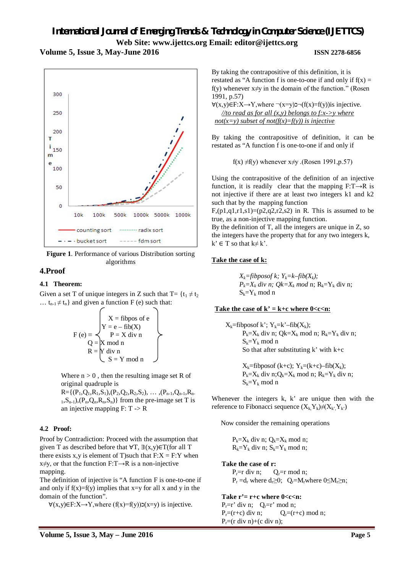### **Volume 5, Issue 3, May-June 2016 ISSN 2278-6856**



**Figure 1**. Performance of various Distribution sorting algorithms

### **4.Proof**

### **4.1 Theorem:**

Given a set T of unique integers in Z such that  $T = {t_1 \neq t_2}$ ...  $t_{n-1} \neq t_n$ } and given a function F (e) such that:

$$
F (e) \equiv \begin{cases} X = \text{fibpos of } e \\ Y = e - \text{fib}(X) \\ P = X \text{ div } n \\ Q = X \text{ mod } n \\ R = \begin{bmatrix} Y \text{ div } n \\ Y \text{ div } n \\ S = Y \text{ mod } n \end{bmatrix} \end{cases}
$$

Where  $n > 0$ , then the resulting image set R of original quadruple is

 $R = \{(P_1, Q_1, R_1, S_1), (P_2, Q_2, R_2, S_2), \ldots, (P_{n-1}, Q_{n-1}, R_n, S_1)\}$  $1, S_{n-1}$ ,  $(P_n, Q_n, R_n, S_n)$  from the pre-image set T is an injective mapping  $F: T \rightarrow R$ 

### **4.2 Proof:**

Proof by Contradiction: Proceed with the assumption that given T as described before that  $\forall$ T,  $\exists$ (x,y)∈T(for all T there exists x,y is element of T)such that  $F: X = F: Y$  when  $x \neq y$ , or that the function F:T $\rightarrow$ R is a non-injective mapping.

The definition of injective is "A function F is one-to-one if and only if  $f(x)=f(y)$  implies that  $x=y$  for all x and y in the domain of the function".

 $∀(x,y)∈F:X→Y,where (f(x)=f(y))z(x=y)$  is injective.

By taking the contrapositive of this definition, it is restated as "A function f is one-to-one if and only if  $f(x) =$ f(y) whenever  $x \neq v$  in the domain of the function." (Rosen 1991, p.57)

 $\forall$ (x,y)∈F:X→Y,where ¬(x=y)¬(f(x)=f(y))is injective. *//to read as for all (x,y) belongs to f:x->y where not(x=y) subset of not(f(x)=f(y)) is injective*

By taking the contrapositive of definition, it can be restated as "A function f is one-to-one if and only if

f(x)  $\neq$ f(y) whenever x $\neq$ y .(Rosen 1991, p.57)

Using the contrapositive of the definition of an injective function, it is readily clear that the mapping  $F: T \rightarrow R$  is not injective if there are at least two integers k1 and k2 such that by the mapping function

 $F,(p1,q1,r1,s1)=(p2,q2,r2,s2)$  in R. This is assumed to be true, as a non-injective mapping function.

By the definition of T, all the integers are unique in Z, so the integers have the property that for any two integers k,  $k' \in T$  so that  $k \neq k'$ .

### **Take the case of k:**

 $X_k$ =fibposof k;  $Y_k$ =k–fib( $X_k$ );  $P_k = X_k$  *div n;*  $Q_k = X_k$  *mod* n;  $R_k = Y_k$  div n;  $S_k = Y_k \mod n$ 

### Take the case of  $k' = k+c$  where  $0 < c < n$ :

 $X_k$ =fibposof k';  $Y_k$ =k'–fib $(X_k)$ ;  $P_k = X_k$  div n; Qk= $X_k$  mod n;  $R_k = Y_k$  div n;  $S_k = Y_k \mod n$ So that after substituting  $k'$  with  $k+c$ 

> $X_k$ =fibposof (k+c);  $Y_k=(k+c)$ –fib $(X_k)$ ;  $P_k=X_k$  div n;  $Q_k=X_k$  mod n;  $R_k=Y_k$  div n;  $S_k = Y_k \mod n$

Whenever the integers k, k' are unique then with the reference to Fibonacci sequence  $(X_k Y_k) \neq (X_k, Y_k)$ 

Now consider the remaining operations

 $P_k=X_k$  div n;  $Q_k=X_k \text{ mod } n$ ;  $R_k = Y_k$  div n;  $S_k = Y_k$  mod n;

### **Take the case of r:**

 $P_r=r$  div n;  $Q_r=r$  mod n;  $P_r = d_r$  where  $d_r \geq 0$ ;  $Q_r = M_r$ where  $0 \leq M_r \geq n$ ;

### **Take r'= r+c where 0<c<n:**

 $P_r=r'$  div n;  $Q_r=r'$  mod n;  $P_r=(r+c)$  div n;  $Q_r=(r+c)$  mod n;  $P_r = (r \div n) + (c \div n);$